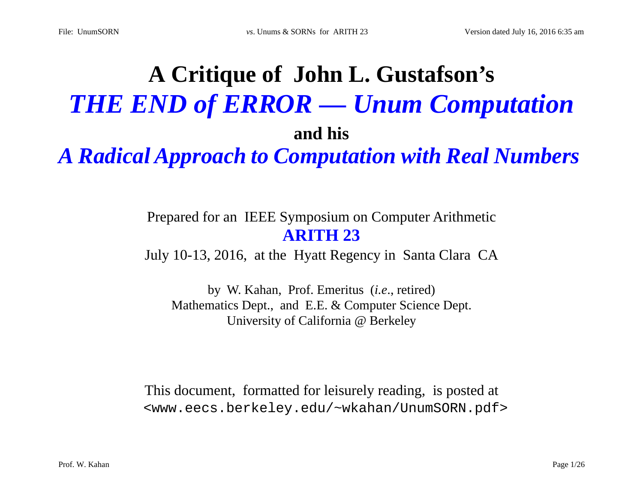# **A Critique of John L. Gustafson's**  *THE END of ERROR — Unum Computation* **and his**

*A Radical Approach to Computation with Real Numbers*

### Prepared for an IEEE Symposium on Computer Arithmetic **ARITH 23**

July 10-13, 2016, at the Hyatt Regency in Santa Clara CA

by W. Kahan, Prof. Emeritus (*i.e*., retired) Mathematics Dept., and E.E. & Computer Science Dept. University of California @ Berkeley

This document, formatted for leisurely reading, is posted at <www.eecs.berkeley.edu/~wkahan/UnumSORN.pdf>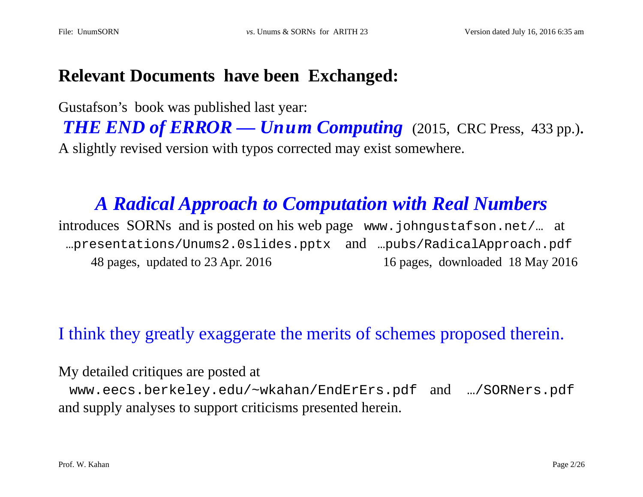### **Relevant Documents have been Exchanged:**

Gustafson's book was published last year:

*THE END of ERROR — Unum Computing* (2015, CRC Press, 433 pp.). A slightly revised version with typos corrected may exist somewhere.

# *A Radical Approach to Computation with Real Numbers*

introduces SORNs and is posted on his web page www.johngustafson.net/… at …presentations/Unums2.0slides.pptx and …pubs/RadicalApproach.pdf 48 pages, updated to 23 Apr. 2016 16 pages, downloaded 18 May 2016

### I think they greatly exaggerate the merits of schemes proposed therein.

My detailed critiques are posted at

www.eecs.berkeley.edu/~wkahan/EndErErs.pdf and …/SORNers.pdf and supply analyses to support criticisms presented herein.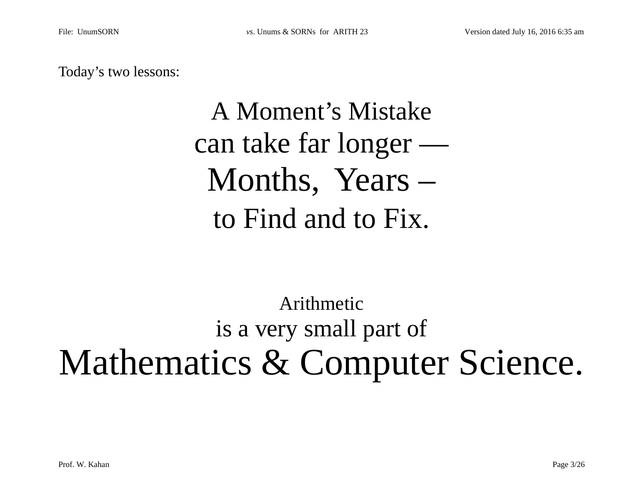Today's two lessons:

# A Moment's Mistake can take far longer — Months, Years – to Find and to Fix.

# Arithmetic is a very small part of Mathematics & Computer Science.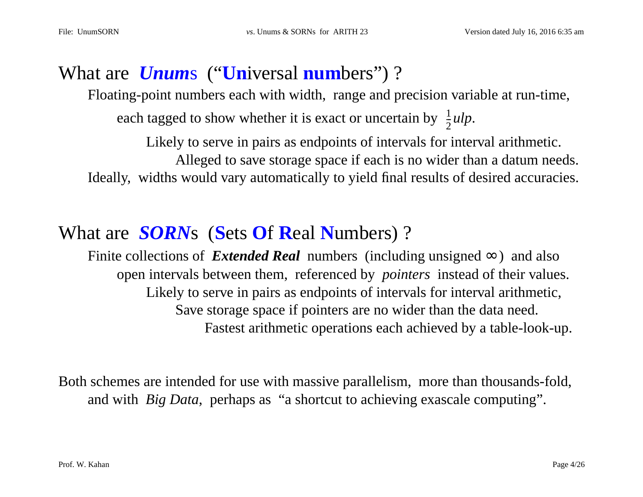## What are *Unum*s ("**Un**iversal **num**bers") ?

Floating-point numbers each with width, range and precision variable at run-time, each tagged to show whether it is exact or uncertain by  $\frac{1}{2}ulp$ .  $\bar{2}$ 

Likely to serve in pairs as endpoints of intervals for interval arithmetic. Alleged to save storage space if each is no wider than a datum needs. Ideally, widths would vary automatically to yield final results of desired accuracies.

# What are *SORN*s (**S**ets **O**f **R**eal **N**umbers) ?

Finite collections of *Extended Real* numbers (including unsigned  $\infty$ ) and also open intervals between them, referenced by *pointers* instead of their values. Likely to serve in pairs as endpoints of intervals for interval arithmetic, Save storage space if pointers are no wider than the data need. Fastest arithmetic operations each achieved by a table-look-up.

Both schemes are intended for use with massive parallelism, more than thousands-fold, and with *Big Data*, perhaps as "a shortcut to achieving exascale computing".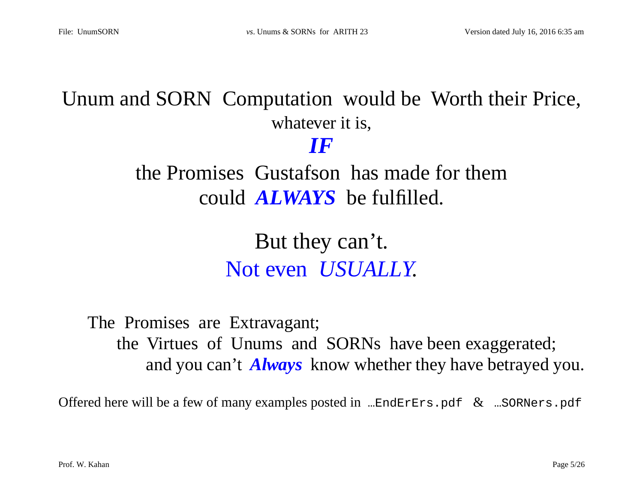# Unum and SORN Computation would be Worth their Price, whatever it is,

*IF*

the Promises Gustafson has made for them could *ALWAYS* be fulfilled.

> But they can't. Not even *USUALLY*.

The Promises are Extravagant; the Virtues of Unums and SORNs have been exaggerated; and you can't *Always* know whether they have betrayed you.

Offered here will be a few of many examples posted in  $\ldots$ EndErErs.pdf  $\&$   $\ldots$ SORNers.pdf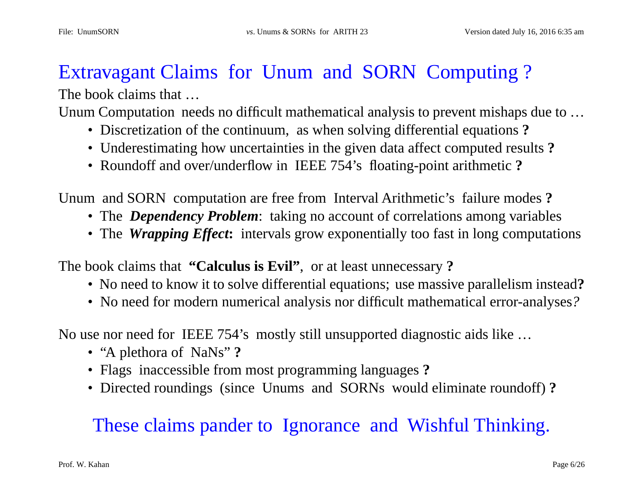# Extravagant Claims for Unum and SORN Computing ?

The book claims that  $\ldots$ 

Unum Computation needs no difficult mathematical analysis to prevent mishaps due to …

- Discretization of the continuum, as when solving differential equations **?**
- Underestimating how uncertainties in the given data affect computed results **?**
- Roundoff and over/underflow in IEEE 754's floating-point arithmetic **?**

Unum and SORN computation are free from Interval Arithmetic's failure modes **?**

- The *Dependency Problem*: taking no account of correlations among variables
- The *Wrapping Effect***:** intervals grow exponentially too fast in long computations

The book claims that **"Calculus is Evil"**, or at least unnecessary **?**

- No need to know it to solve differential equations; use massive parallelism instead**?**
- No need for modern numerical analysis nor difficult mathematical error-analyses*?*

No use nor need for IEEE 754's mostly still unsupported diagnostic aids like …

- "A plethora of NaNs" **?**
- Flags inaccessible from most programming languages **?**
- Directed roundings (since Unums and SORNs would eliminate roundoff) **?**

# These claims pander to Ignorance and Wishful Thinking.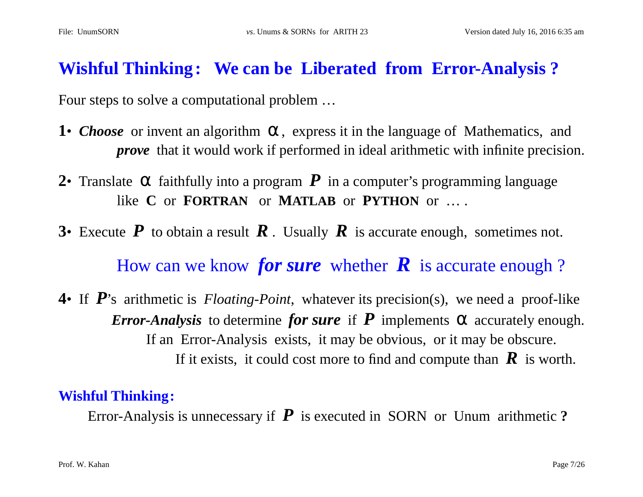### **Wishful Thinking: We can be Liberated from Error-Analysis ?**

Four steps to solve a computational problem …

- **1•** *Choose* or invent an algorithm α, express it in the language of Mathematics, and *prove* that it would work if performed in ideal arithmetic with infinite precision.
- **2•** Translate  $\alpha$  faithfully into a program  $P$  in a computer's programming language like **C** or **FORTRAN** or **MATLAB** or **PYTHON** or … .
- **3•** Execute  $P$  to obtain a result  $R$ . Usually  $R$  is accurate enough, sometimes not.

How can we know *for sure* whether  $\bf{R}$  is accurate enough ?

**4**• If *P*'s arithmetic is *Floating-Point*, whatever its precision(s), we need a proof-like *Error-Analysis* to determine *for sure* if  $P$  implements  $\alpha$  accurately enough. If an Error-Analysis exists, it may be obvious, or it may be obscure. If it exists, it could cost more to find and compute than  $\mathbf{R}$  is worth.

#### **Wishful Thinking:**

Error-Analysis is unnecessary if *P* is executed in SORN or Unum arithmetic **?**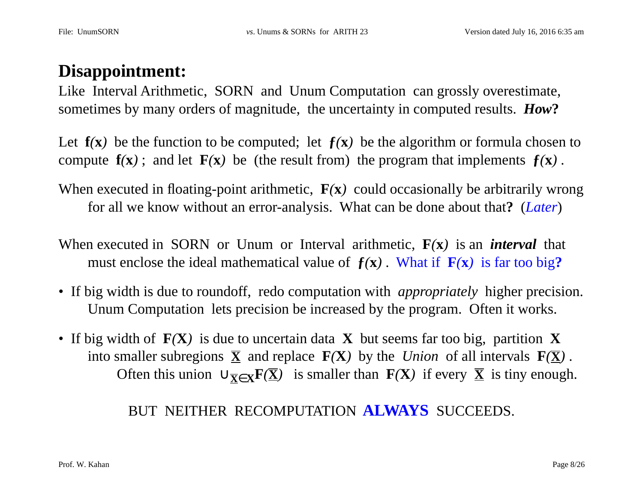### **Disappointment:**

Like Interval Arithmetic, SORN and Unum Computation can grossly overestimate, sometimes by many orders of magnitude, the uncertainty in computed results. *How***?**

Let  $f(x)$  be the function to be computed; let  $f(x)$  be the algorithm or formula chosen to compute  $f(x)$ ; and let  $F(x)$  be (the result from) the program that implements  $f(x)$ .

When executed in floating-point arithmetic, **F***(***x***)* could occasionally be arbitrarily wrong for all we know without an error-analysis. What can be done about that**?** (*Later*)

When executed in SORN or Unum or Interval arithmetic, **F***(***x***)* is an *interval* that must enclose the ideal mathematical value of  $f(x)$ . What if  $F(x)$  is far too big?

- If big width is due to roundoff, redo computation with *appropriately* higher precision. Unum Computation lets precision be increased by the program. Often it works.
- If big width of **F***(***X***)* is due to uncertain data **X** but seems far too big, partition **X** into smaller subregions  $\overline{\mathbf{X}}$  and replace  $\mathbf{F}(\mathbf{X})$  by the *Union* of all intervals  $\mathbf{F}(\overline{\mathbf{X}})$ . Often this union  $\cup_{\overline{X} \in X}$ **F**( $\overline{X}$ *)* is smaller than **F**( $X$ *)* if every  $\overline{X}$  is tiny enough.

#### BUT NEITHER RECOMPUTATION **ALWAYS** SUCCEEDS.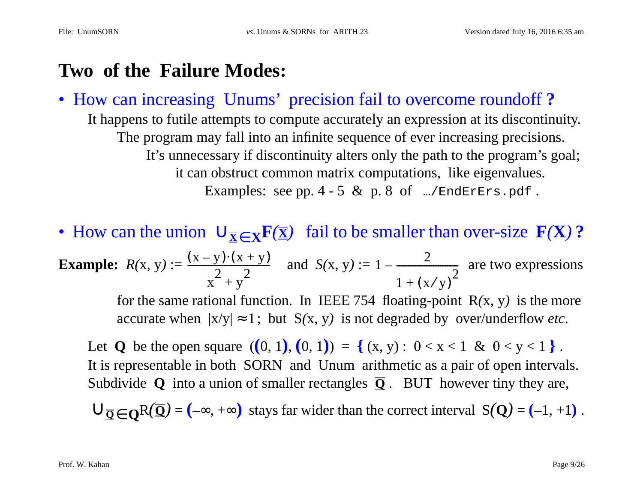## **Two of the Failure Modes:**

• How can increasing Unums' precision fail to overcome roundoff **?** It happens to futile attempts to compute accurately an expression at its discontinuity. The program may fall into an infinite sequence of ever increasing precisions. It's unnecessary if discontinuity alters only the path to the program's goal; it can obstruct common matrix computations, like eigenvalues. Examples: see pp.  $4 - 5$  & p.  $8$  of  $\ldots$ /EndErErs.pdf.

• How can the union  $\cup_{\overline{x} \in X}$ **F** $(\overline{x})$  fail to be smaller than over-size **F** $(X)$  ?

**Example:** 
$$
R(x, y) := \frac{(x - y) \cdot (x + y)}{x^2 + y^2}
$$
 and  $S(x, y) := 1 - \frac{2}{1 + (x/y)^2}$  are two expressions

for the same rational function. In IEEE 754 floating-point  $R(x, y)$  is the more accurate when  $|x/y| \approx 1$ ; but  $S(x, y)$  is not degraded by over/underflow *etc*.

Let **Q** be the open square  $((0, 1), (0, 1)) = \{(x, y): 0 < x < 1 \& 0 < y < 1\}$ . It is representable in both SORN and Unum arithmetic as a pair of open intervals. Subdivide  $Q$  into a union of smaller rectangles  $\overline{Q}$ . BUT however tiny they are,

 $\bigcup_{\mathbf{\overline{Q}} \in \mathbf{Q}} R(\mathbf{\overline{Q}}) = (-\infty, +\infty)$  stays far wider than the correct interval  $S(\mathbf{Q}) = (-1, +1)$ .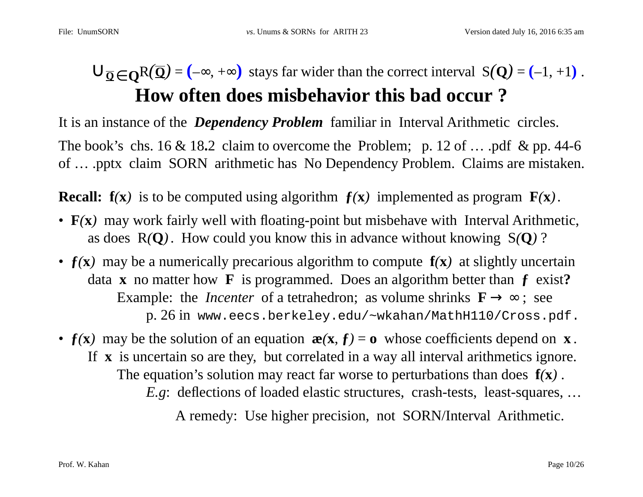# $\bigcup_{\overline{Q} \in \mathbf{O}} R(\overline{Q}) = (-\infty, +\infty)$  stays far wider than the correct interval S(**Q**) = (−1, +1). **How often does misbehavior this bad occur ?**

It is an instance of the *Dependency Problem* familiar in Interval Arithmetic circles.

The book's chs. 16 & 18.2 claim to overcome the Problem; p. 12 of ... .pdf & pp. 44-6 of … .pptx claim SORN arithmetic has No Dependency Problem. Claims are mistaken.

**Recall:**  $f(x)$  is to be computed using algorithm  $f(x)$  implemented as program  $F(x)$ .

- **F**(**x**) may work fairly well with floating-point but misbehave with Interval Arithmetic, as does R*(***Q***)*. How could you know this in advance without knowing S*(***Q***)* ?
- **ƒ***(***x***)* may be a numerically precarious algorithm to compute **f***(***x***)* at slightly uncertain data **x** no matter how **F** is programmed. Does an algorithm better than **ƒ** exist**?** Example: the *Incenter* of a tetrahedron; as volume shrinks  $\mathbf{F} \rightarrow \infty$ ; see p. 26 in www.eecs.berkeley.edu/~wkahan/MathH110/Cross.pdf.
- $f(x)$  may be the solution of an equation  $\mathbf{x}(x, f) = \mathbf{0}$  whose coefficients depend on **x**. If **x** is uncertain so are they, but correlated in a way all interval arithmetics ignore. The equation's solution may react far worse to perturbations than does **f***(***x***)* . *E.g*: deflections of loaded elastic structures, crash-tests, least-squares, …

A remedy: Use higher precision, not SORN/Interval Arithmetic.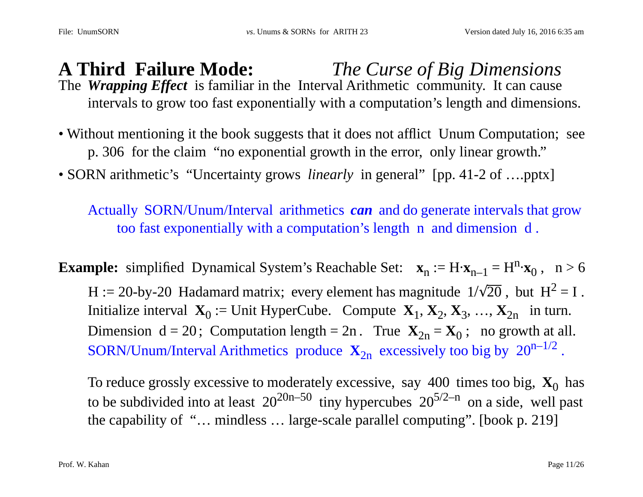#### **A Third Failure Mode:** *The Curse of Big Dimensions* The *Wrapping Effect* is familiar in the Interval Arithmetic community. It can cause intervals to grow too fast exponentially with a computation's length and dimensions.

- Without mentioning it the book suggests that it does not afflict Unum Computation; see p. 306 for the claim "no exponential growth in the error, only linear growth."
- SORN arithmetic's "Uncertainty grows *linearly* in general" [pp. 41-2 of ....pptx]

Actually SORN/Unum/Interval arithmetics *can* and do generate intervals that grow too fast exponentially with a computation's length n and dimension d .

**Example:** simplified Dynamical System's Reachable Set:  $\mathbf{x}_n := H \cdot \mathbf{x}_{n-1} = H^n \cdot \mathbf{x}_0$ ,  $n > 6$ H := 20-by-20 Hadamard matrix; every element has magnitude  $1/\sqrt{20}$ , but  $H^2 = I$ . Initialize interval  $\mathbf{X}_0 :=$  Unit HyperCube. Compute  $\mathbf{X}_1, \mathbf{X}_2, \mathbf{X}_3, \ldots, \mathbf{X}_{2n}$  in turn. Dimension  $d = 20$ ; Computation length = 2n. True  $X_{2n} = X_0$ ; no growth at all. SORN/Unum/Interval Arithmetics produce  $X_{2n}$  excessively too big by  $20^{n-1/2}$ .

To reduce grossly excessive to moderately excessive, say  $400$  times too big,  $\mathbf{X}_0$  has to be subdivided into at least  $20^{20n-50}$  tiny hypercubes  $20^{5/2-n}$  on a side, well past the capability of "… mindless … large-scale parallel computing". [book p. 219]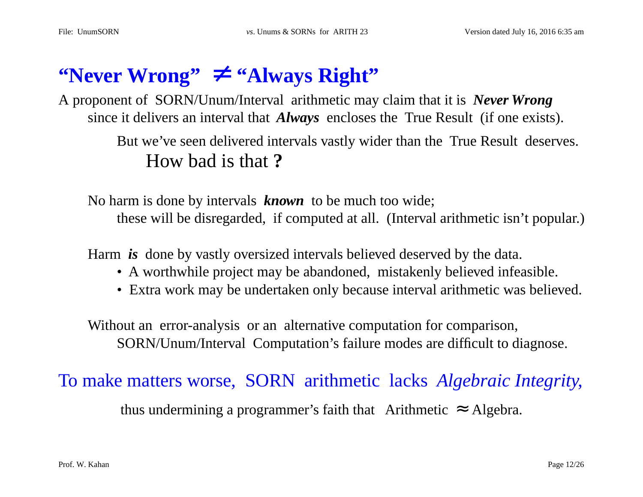# $\text{``Never Wrong''} \neq \text{``Always Right''}$

A proponent of SORN/Unum/Interval arithmetic may claim that it is *Never Wrong* since it delivers an interval that *Always* encloses the True Result (if one exists).

> But we've seen delivered intervals vastly wider than the True Result deserves. How bad is that **?**

No harm is done by intervals *known* to be much too wide; these will be disregarded, if computed at all. (Interval arithmetic isn't popular.)

Harm *is* done by vastly oversized intervals believed deserved by the data.

- A worthwhile project may be abandoned, mistakenly believed infeasible.
- Extra work may be undertaken only because interval arithmetic was believed.

Without an error-analysis or an alternative computation for comparison, SORN/Unum/Interval Computation's failure modes are difficult to diagnose.

To make matters worse, SORN arithmetic lacks *Algebraic Integrity*,

thus undermining a programmer's faith that Arithmetic  $\approx$  Algebra.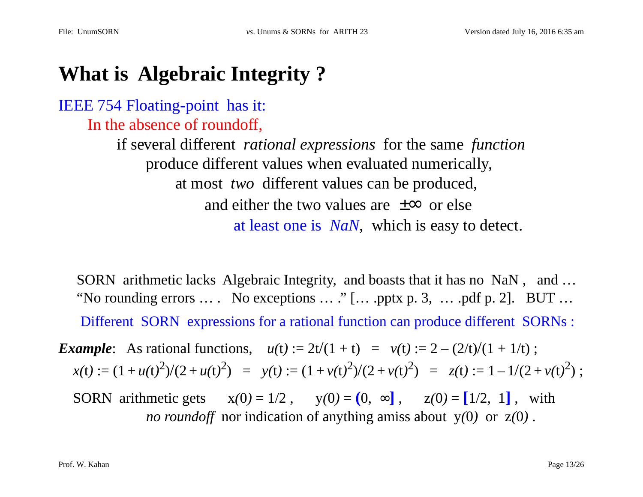# **What is Algebraic Integrity ?**

#### IEEE 754 Floating-point has it: In the absence of roundoff,

if several different *rational expressions* for the same *function* produce different values when evaluated numerically, at most *two* different values can be produced, and either the two values are  $\pm \infty$  or else at least one is *NaN*, which is easy to detect.

 SORN arithmetic lacks Algebraic Integrity, and boasts that it has no NaN , and … "No rounding errors  $\dots$  No exceptions  $\dots$  " [ $\dots$  .pptx p. 3,  $\dots$  .pdf p. 2]. BUT  $\dots$ Different SORN expressions for a rational function can produce different SORNs :

*Example*: As rational functions,  $u(t) := 2t/(1 + t) = v(t) := 2 - (2/t)/(1 + 1/t)$ ;  $x(t) := (1 + u(t)^2)/(2 + u(t)^2)$  =  $y(t) := (1 + v(t)^2)/(2 + v(t)^2)$  =  $z(t) := 1 - 1/(2 + v(t)^2)$ ;

SORN arithmetic gets  $x(0) = 1/2$ ,  $y(0) = (0, \infty)$ ,  $z(0) = [1/2, 1]$ , with *no roundoff* nor indication of anything amiss about y*(*0*)* or z*(*0*)* .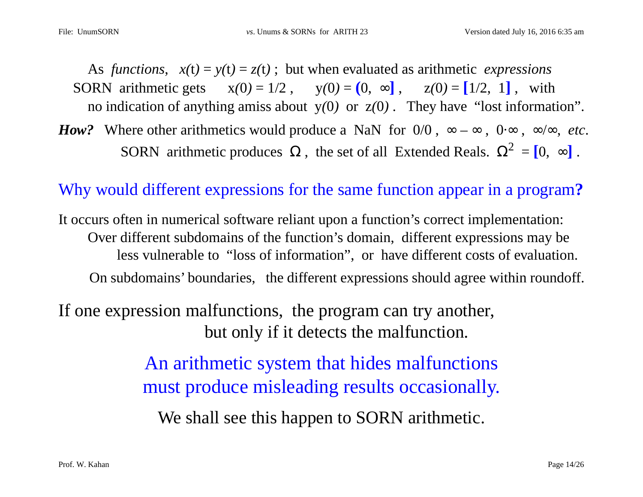As *functions*,  $x(t) = y(t) = z(t)$ ; but when evaluated as arithmetic *expressions* SORN arithmetic gets  $x(0) = 1/2$ ,  $y(0) = (0, \infty)$ ,  $z(0) = [1/2, 1]$ , with no indication of anything amiss about y*(*0*)* or z*(*0*)* . They have "lost information". *How?* Where other arithmetics would produce a NaN for  $0/0$ ,  $\infty - \infty$ ,  $0.\infty$ ,  $\infty/\infty$ , *etc.* 

SORN arithmetic produces  $\Omega$ , the set of all Extended Reals.  $\Omega^2 = [0, \infty]$ .

#### Why would different expressions for the same function appear in a program**?**

It occurs often in numerical software reliant upon a function's correct implementation: Over different subdomains of the function's domain, different expressions may be less vulnerable to "loss of information", or have different costs of evaluation. On subdomains' boundaries, the different expressions should agree within roundoff.

# If one expression malfunctions, the program can try another, but only if it detects the malfunction.

An arithmetic system that hides malfunctions must produce misleading results occasionally.

We shall see this happen to SORN arithmetic.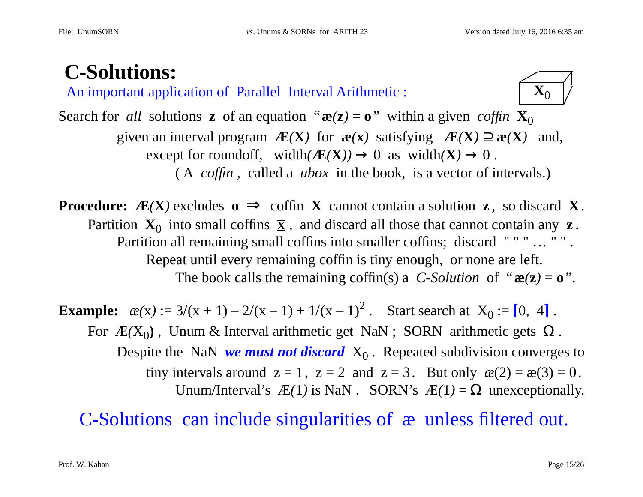# **C-Solutions:**

An important application of Parallel Interval Arithmetic :  $\mathbf{X}_0$ 



Search for *all* solutions **z** of an equation " $\mathbf{x}(z) = \mathbf{o}$ " within a given *coffin*  $\mathbf{X}_0$ given an interval program  $\mathbf{E}(X)$  for  $\mathbf{e}(x)$  satisfying  $\mathbf{E}(X) \supseteq \mathbf{e}(X)$  and, except for roundoff, width $(\mathbf{A}\mathbf{E}(\mathbf{X})) \rightarrow 0$  as width $(\mathbf{X}) \rightarrow 0$ . ( A *coffin* , called a *ubox* in the book, is a vector of intervals.)

**Procedure:**  $\mathbf{F}(\mathbf{X})$  excludes  $\mathbf{o} \implies \text{coffin } \mathbf{X}$  cannot contain a solution **z**, so discard **X**. Partition  $X_0$  into small coffins  $\overline{X}$ , and discard all those that cannot contain any **z**. Partition all remaining small coffins into smaller coffins; discard """ ... "". Repeat until every remaining coffin is tiny enough, or none are left. The book calls the remaining coffin(s) a *C-Solution* of " $\mathbf{e}(\mathbf{z}) = \mathbf{0}$ ".

**Example:**  $\alpha(x) := 3/(x+1) - 2/(x-1) + 1/(x-1)^2$ . Start search at  $X_0 := [0, 4]$ . For  $E(X_0)$ , Unum & Interval arithmetic get NaN ; SORN arithmetic gets  $\Omega$ . Despite the NaN *we must not discard*  $X_0$ . Repeated subdivision converges to tiny intervals around  $z = 1$ ,  $z = 2$  and  $z = 3$ . But only  $\alpha(2) = \alpha(3) = 0$ . Unum/Interval's  $\mathcal{L}(1)$  is NaN . SORN's  $\mathcal{L}(1) = \Omega$  unexceptionally.

C-Solutions can include singularities of æ unless filtered out.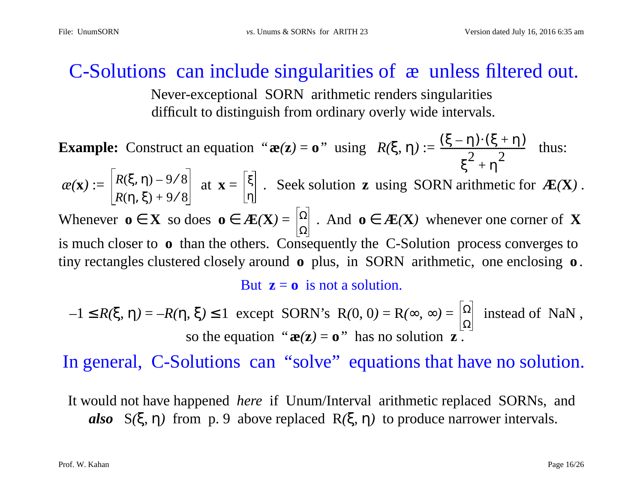### C-Solutions can include singularities of æ unless filtered out.

Never-exceptional SORN arithmetic renders singularities difficult to distinguish from ordinary overly wide intervals.

**Example:** Construct an equation " $\mathbf{z}(z) = \mathbf{o}$ " using  $R(\xi, \eta) := \frac{(\xi - \eta)^2(\xi + \eta)}{2 \pi^2}$  thus:  $\alpha(\mathbf{x}) := \begin{bmatrix} \mathbf{A}(\mathbf{s}, \mathbf{I}) - \mathbf{B}(\mathbf{s}) \end{bmatrix}$  at  $\mathbf{x} = \begin{bmatrix} \mathbf{s} \end{bmatrix}$ . Seek solution **z** using SORN arithmetic for  $\mathbf{E}(\mathbf{X})$ . Whenever  $o \in X$  so does  $o \in \mathcal{A}E(X) = |\Omega|$ . And  $o \in \mathcal{A}E(X)$  whenever one corner of X is much closer to **o** than the others. Consequently the C-Solution process converges to tiny rectangles clustered closely around **<sup>o</sup>** plus, in SORN arithmetic, one enclosing **<sup>o</sup>** . But  $z = 0$  is not a solution.  $(\xi - \eta) \!\cdot\! (\xi + \eta)$  $\frac{2}{5^2 + \eta^2}$ *R*(ξ, η) – 9/8 *R*(η, ξ) + 9/8 ξ η Ω

 $-1 \leq R(\xi, \eta) = -R(\eta, \xi) \leq 1$  except SORN's R(0, 0) = R( $\infty$ ,  $\infty$ ) =  $\left|\frac{\Omega}{\xi}\right|$  instead of NaN, so the equation " $\mathbf{z}(\mathbf{z}) = \mathbf{o}$ " has no solution  $\mathbf{z}$ . Ω

In general, C-Solutions can "solve" equations that have no solution.

It would not have happened *here* if Unum/Interval arithmetic replaced SORNs, and *also* S*(*ξ, η*)* from p. 9 above replaced R*(*ξ, η*)* to produce narrower intervals.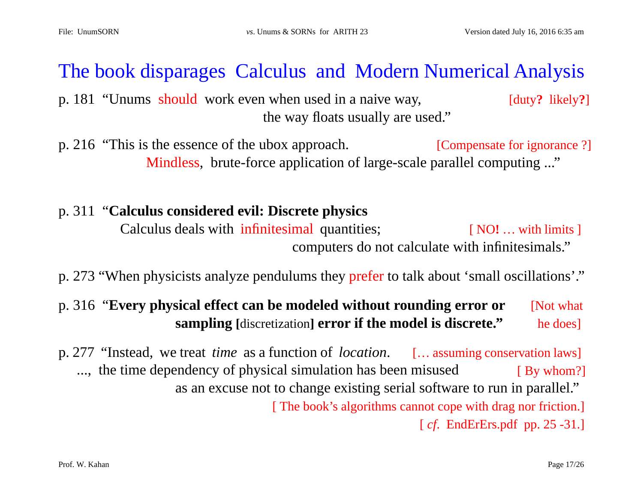# The book disparages Calculus and Modern Numerical Analysis

p. 181 "Unums should work even when used in a naive way, [duty**?** likely**?**] the way floats usually are used."

p. 216 "This is the essence of the ubox approach. [Compensate for ignorance ?] Mindless, brute-force application of large-scale parallel computing ..."

#### p. 311 "**Calculus considered evil: Discrete physics** Calculus deals with infinitesimal quantities; [ NO**!** … with limits ] computers do not calculate with infinitesimals."

p. 273 "When physicists analyze pendulums they prefer to talk about 'small oscillations'."

#### p. 316 "**Every physical effect can be modeled without rounding error or** [Not what **sampling** [discretization] **error if the model is discrete."** he does]

p. 277 "Instead, we treat *time* as a function of *location*. [… assuming conservation laws] ..., the time dependency of physical simulation has been misused [ By whom?] as an excuse not to change existing serial software to run in parallel." [ The book's algorithms cannot cope with drag nor friction.] [ *cf*. EndErErs.pdf pp. 25 -31.]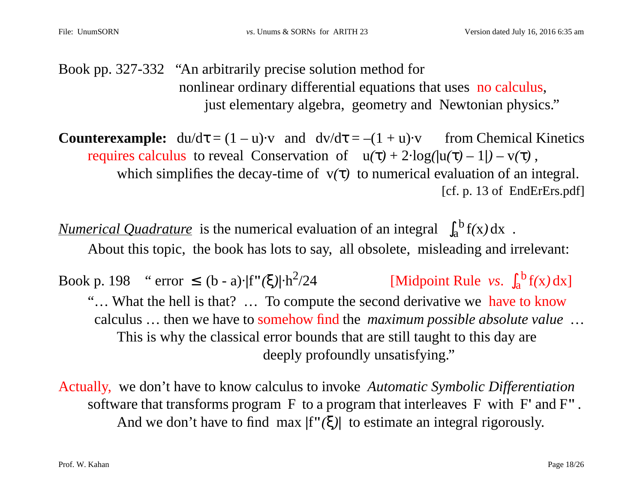Book pp. 327-332 "An arbitrarily precise solution method for nonlinear ordinary differential equations that uses no calculus, just elementary algebra, geometry and Newtonian physics."

**Counterexample:**  $du/d\tau = (1 - u)\cdot v$  and  $dv/d\tau = -(1 + u)\cdot v$  from Chemical Kinetics requires calculus to reveal Conservation of  $u(\tau) + 2 \cdot log(|u(\tau) - 1|) - v(\tau)$ , which simplifies the decay-time of  $v(\tau)$  to numerical evaluation of an integral. [cf. p. 13 of EndErErs.pdf]

*Numerical Quadrature* is the numerical evaluation of an integral  $\int_{a}^{b} f(x) dx$ . About this topic, the book has lots to say, all obsolete, misleading and irrelevant:

Book p. 198 " error  $\leq$  (b - a)· $|f''(\xi)| \cdot h^2/24$  [Midpoint Rule *vs*.  $\int_a^b f(x) dx$ ] "… What the hell is that? … To compute the second derivative we have to know calculus … then we have to somehow find the *maximum possible absolute value* … This is why the classical error bounds that are still taught to this day are deeply profoundly unsatisfying."

Actually, we don't have to know calculus to invoke *Automatic Symbolic Differentiation* software that transforms program F to a program that interleaves F with F**'** and F**"** . And we don't have to find max **|**f**"***(*ξ*)***|** to estimate an integral rigorously.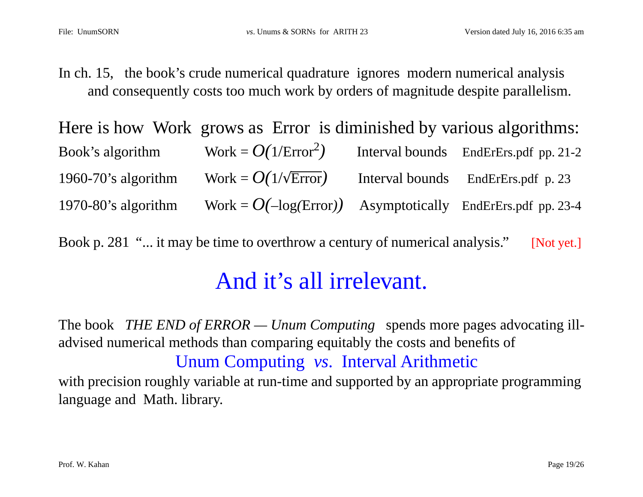In ch. 15, the book's crude numerical quadrature ignores modern numerical analysis and consequently costs too much work by orders of magnitude despite parallelism.

|                        | Here is how Work grows as Error is diminished by various algorithms: |                                       |
|------------------------|----------------------------------------------------------------------|---------------------------------------|
| Book's algorithm       | Work = $O(1/\text{Error}^2)$                                         | Interval bounds EndErErs.pdf pp. 21-2 |
| 1960-70's algorithm    | Work = $O(1/\sqrt{\text{Error}})$                                    | Interval bounds EndErErs.pdf p. 23    |
| $1970-80$ 's algorithm | Work = $O(-\log(\text{Error}))$ Asymptotically EndErErs.pdf pp. 23-4 |                                       |

Book p. 281 "... it may be time to overthrow a century of numerical analysis." [Not yet.]

# And it's all irrelevant.

The book *THE END of ERROR — Unum Computing* spends more pages advocating illadvised numerical methods than comparing equitably the costs and benefits of Unum Computing *vs*. Interval Arithmetic with precision roughly variable at run-time and supported by an appropriate programming language and Math. library.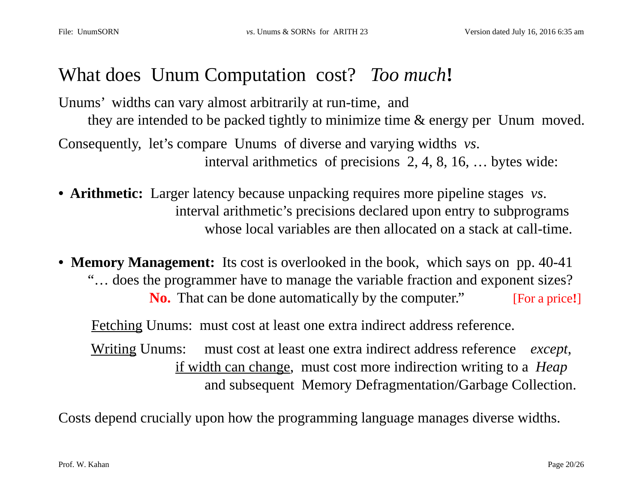## What does Unum Computation cost? *Too much***!**

Unums' widths can vary almost arbitrarily at run-time, and they are intended to be packed tightly to minimize time & energy per Unum moved. Consequently, let's compare Unums of diverse and varying widths *vs*. interval arithmetics of precisions 2, 4, 8, 16, … bytes wide:

- **Arithmetic:** Larger latency because unpacking requires more pipeline stages *vs*. interval arithmetic's precisions declared upon entry to subprograms whose local variables are then allocated on a stack at call-time.
- **Memory Management:** Its cost is overlooked in the book, which says on pp. 40-41 "… does the programmer have to manage the variable fraction and exponent sizes? **No.** That can be done automatically by the computer." [For a price!]

Fetching Unums: must cost at least one extra indirect address reference.

 Writing Unums: must cost at least one extra indirect address reference *except*, if width can change, must cost more indirection writing to a *Heap* and subsequent Memory Defragmentation/Garbage Collection.

Costs depend crucially upon how the programming language manages diverse widths.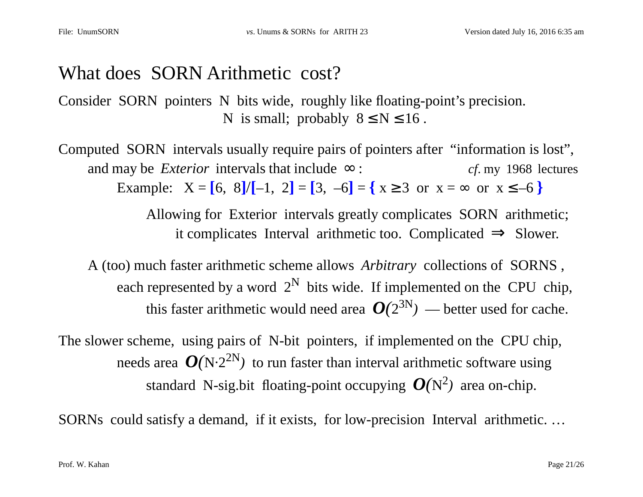## What does SORN Arithmetic cost?

Consider SORN pointers N bits wide, roughly like floating-point's precision. N is small; probably  $8 \le N \le 16$ .

Computed SORN intervals usually require pairs of pointers after "information is lost", and may be *Exterior* intervals that include  $\infty$ : *cf.* my 1968 lectures Example:  $X = \begin{bmatrix} 6 \\ 8 \end{bmatrix} / \begin{bmatrix} -1 \\ 2 \end{bmatrix} = \begin{bmatrix} 3 \\ -6 \end{bmatrix} = \begin{bmatrix} x \ge 3 \\ 0 \end{bmatrix}$  or  $x = \infty$  or  $x \le -6$ 

> Allowing for Exterior intervals greatly complicates SORN arithmetic; it complicates Interval arithmetic too. Complicated  $\Rightarrow$  Slower.

A (too) much faster arithmetic scheme allows *Arbitrary* collections of SORNS , each represented by a word  $2^N$  bits wide. If implemented on the CPU chip, this faster arithmetic would need area  $O(2^{3N})$  — better used for cache.

The slower scheme, using pairs of N-bit pointers, if implemented on the CPU chip, needs area  $O(N \cdot 2^{2N})$  to run faster than interval arithmetic software using standard N-sig.bit floating-point occupying  $O(N^2)$  area on-chip.

SORNs could satisfy a demand, if it exists, for low-precision Interval arithmetic. …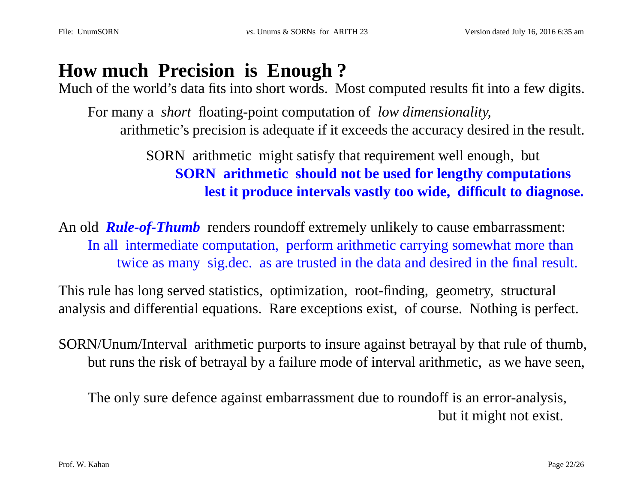# **How much Precision is Enough ?**

Much of the world's data fits into short words. Most computed results fit into a few digits.

For many a *short* floating-point computation of *low dimensionality*, arithmetic's precision is adequate if it exceeds the accuracy desired in the result.

> SORN arithmetic might satisfy that requirement well enough, but **SORN arithmetic should not be used for lengthy computations lest it produce intervals vastly too wide, difficult to diagnose.**

An old *Rule-of-Thumb* renders roundoff extremely unlikely to cause embarrassment: In all intermediate computation, perform arithmetic carrying somewhat more than twice as many sig.dec. as are trusted in the data and desired in the final result.

This rule has long served statistics, optimization, root-finding, geometry, structural analysis and differential equations. Rare exceptions exist, of course. Nothing is perfect.

SORN/Unum/Interval arithmetic purports to insure against betrayal by that rule of thumb, but runs the risk of betrayal by a failure mode of interval arithmetic, as we have seen,

The only sure defence against embarrassment due to roundoff is an error-analysis, but it might not exist.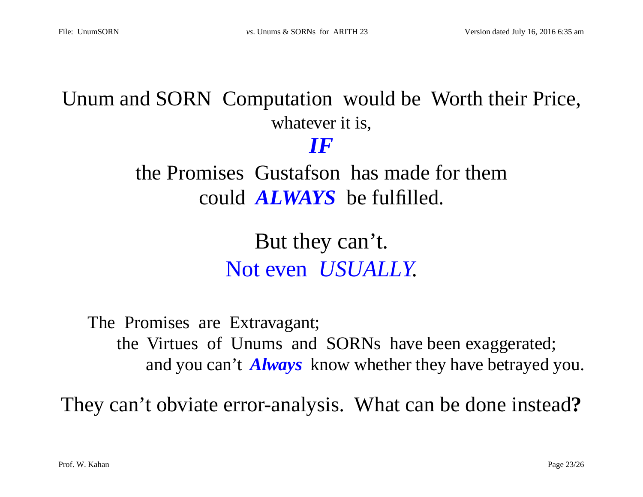# Unum and SORN Computation would be Worth their Price, whatever it is,

*IF*

the Promises Gustafson has made for them could *ALWAYS* be fulfilled.

> But they can't. Not even *USUALLY*.

The Promises are Extravagant; the Virtues of Unums and SORNs have been exaggerated; and you can't *Always* know whether they have betrayed you.

They can't obviate error-analysis. What can be done instead**?**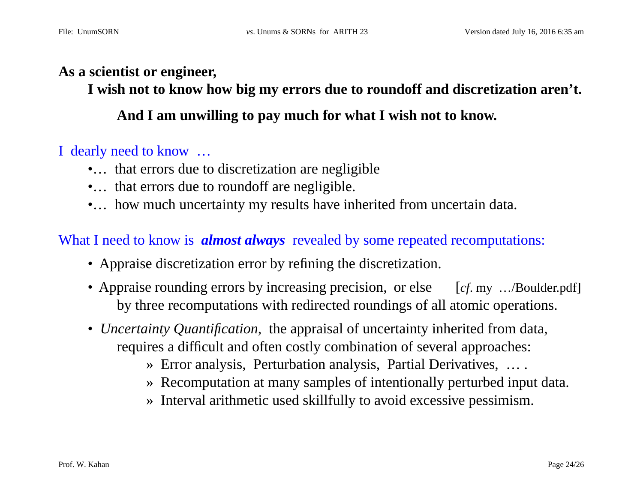#### **As a scientist or engineer,**

**I wish not to know how big my errors due to roundoff and discretization aren't.**

**And I am unwilling to pay much for what I wish not to know.**

#### I dearly need to know …

- •... that errors due to discretization are negligible
- •... that errors due to roundoff are negligible.
- •... how much uncertainty my results have inherited from uncertain data.

#### What I need to know is *almost always* revealed by some repeated recomputations:

- Appraise discretization error by refining the discretization.
- Appraise rounding errors by increasing precision, or else [*cf.* my .../Boulder.pdf] by three recomputations with redirected roundings of all atomic operations.
- *Uncertainty Quantification*, the appraisal of uncertainty inherited from data, requires a difficult and often costly combination of several approaches:
	- » Error analysis, Perturbation analysis, Partial Derivatives, … .
	- » Recomputation at many samples of intentionally perturbed input data.
	- » Interval arithmetic used skillfully to avoid excessive pessimism.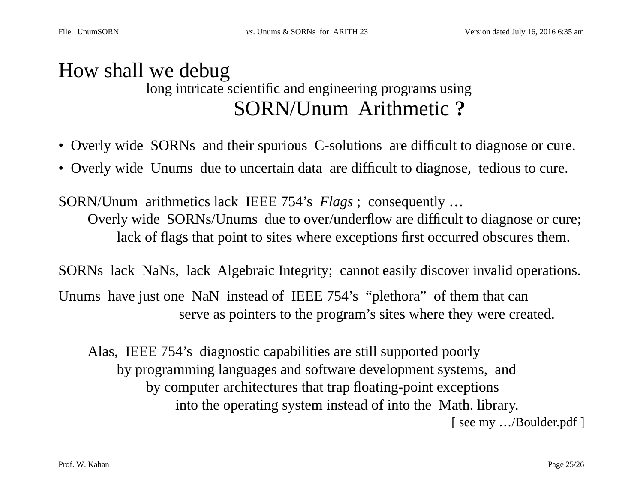### How shall we debug long intricate scientific and engineering programs using SORN/Unum Arithmetic **?**

- Overly wide SORNs and their spurious C-solutions are difficult to diagnose or cure.
- Overly wide Unums due to uncertain data are difficult to diagnose, tedious to cure.

SORN/Unum arithmetics lack IEEE 754's *Flags* ; consequently … Overly wide SORNs/Unums due to over/underflow are difficult to diagnose or cure; lack of flags that point to sites where exceptions first occurred obscures them.

SORNs lack NaNs, lack Algebraic Integrity; cannot easily discover invalid operations.

Unums have just one NaN instead of IEEE 754's "plethora" of them that can serve as pointers to the program's sites where they were created.

Alas, IEEE 754's diagnostic capabilities are still supported poorly by programming languages and software development systems, and by computer architectures that trap floating-point exceptions into the operating system instead of into the Math. library. [ see my .../Boulder.pdf ]